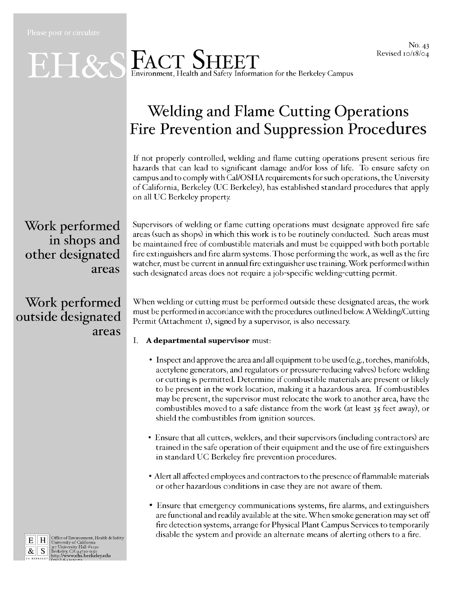#### No. 43 Revised 10/18/04

## EH&S FACT SHEET nvironment, Health and Safety Information for the Berkeley Campus

## **Welding and Flame Cutting Operations** Fire Prevention and Suppression Procedures

If not properly controlled, welding and flame cutting operations present serious fire hazards that can lead to significant damage and/or loss of life. To ensure safety on campus and to comply with Cal/OSHA requirements for such operations, the University of California, Berkeley (UC Berkeley), has established standard procedures that apply on all UC Berkeley property.

### Work performed in shops and other designated areas

### Work performed outside designated areas

Supervisors of welding or flame cutting operations must designate approved fire safe areas (such as shops) in which this work is to be routinely conducted. Such areas must be maintained free of combustible materials and must be equipped with both portable fire extinguishers and fire alarm systems. Those performing the work, as well as the fire watcher, must be current in annual fire extinguisher use training. Work performed within such designated areas does not require a job-specific welding-cutting permit.

When welding or cutting must be performed outside these designated areas, the work must be performed in accordance with the procedures outlined below. A Welding/Cutting Permit (Attachment 1), signed by a supervisor, is also necessary.

- I. A departmental supervisor must:
	- Inspect and approve the area and all equipment to be used (e.g., torches, manifolds, acetylene generators, and regulators or pressure-reducing valves) before welding or cutting is permitted. Determine if combustible materials are present or likely to be present in the work location, making it a hazardous area. If combustibles may be present, the supervisor must relocate the work to another area, have the combustibles moved to a safe distance from the work (at least 35 feet away), or shield the combustibles from ignition sources.
	- Ensure that all cutters, welders, and their supervisors (including contractors) are trained in the safe operation of their equipment and the use of fire extinguishers in standard UC Berkeley fire prevention procedures.
	- Alert all affected employees and contractors to the presence of flammable materials or other hazardous conditions in case they are not aware of them.
	- Ensure that emergency communications systems, fire alarms, and extinguishers are functional and readily available at the site. When smoke generation may set off fire detection systems, arrange for Physical Plant Campus Services to temporarily disable the system and provide an alternate means of alerting others to a fire.



 $\begin{tabular}{c|c|c} \hline \textbf{E} & \textbf{H} & \textbf{Office of Environment, Health & Safety} \\ \hline \textbf{E} & \textbf{H} & \textbf{University of California} \\ \hline \textbf{R} & \textbf{S} & \textbf{Berkley, C}\lambda q4720–1150 \\ \textbf{Berkley, C}\lambda q4720–1150 \\ \textbf{berkley, C}\lambda q4720–1150 \\ \textbf{W} & \textbf{Berkley, C}\lambda q1720–1150 \\ \hline \end{tabular}$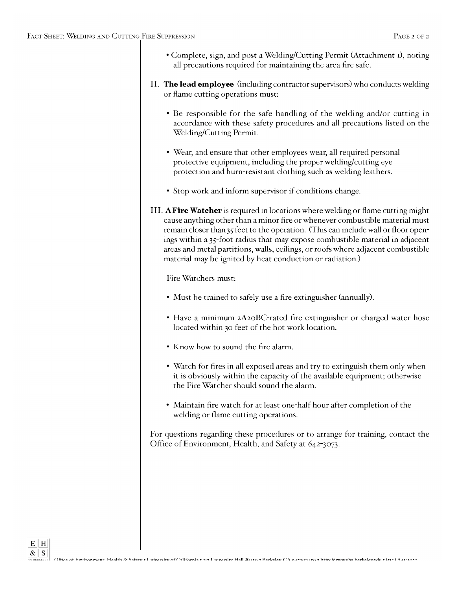- Complete, sign, and post a Welding/Cutting Permit (Attachment 1), noting all precautions required for maintaining the area fire safe.
- II. The lead employee (including contractor supervisors) who conducts welding or flame cutting operations must:
	- Be responsible for the safe handling of the welding and/or cutting in accordance with these safety procedures and all precautions listed on the Welding/Cutting Permit.
	- Wear, and ensure that other employees wear, all required personal protective equipment, including the proper welding/cutting eye protection and burn-resistant clothing such as welding leathers.
	- Stop work and inform supervisor if conditions change.
- III. A Fire Watcher is required in locations where welding or flame cutting might cause anything other than a minor fire or whenever combustible material must remain closer than 35 feet to the operation. (This can include wall or floor openings within a 35-foot radius that may expose combustible material in adjacent areas and metal partitions, walls, ceilings, or roofs where adjacent combustible material may be ignited by heat conduction or radiation.)

Fire Watchers must:

- Must be trained to safely use a fire extinguisher (annually).
- Have a minimum 2A20BC-rated fire extinguisher or charged water hose located within 30 feet of the hot work location.
- Know how to sound the fire alarm.
- Watch for fires in all exposed areas and try to extinguish them only when it is obviously within the capacity of the available equipment; otherwise the Fire Watcher should sound the alarm.
- Maintain fire watch for at least one-half hour after completion of the welding or flame cutting operations.

For questions regarding these procedures or to arrange for training, contact the Office of Environment, Health, and Safety at 642-3073.

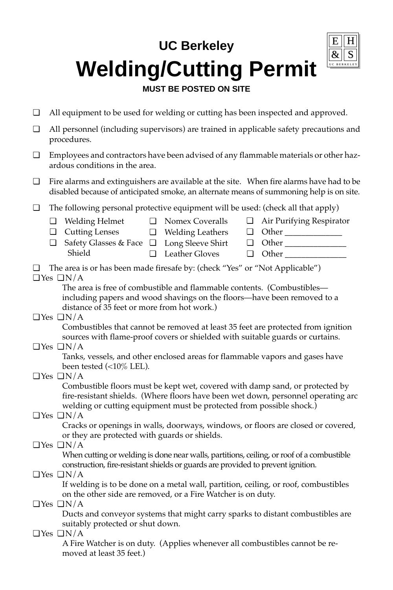# **UC Berkeley Welding/Cutting Permit**

### **MUST BE POSTED ON SITE**

- ❏ All equipment to be used for welding or cutting has been inspected and approved.
- ❏ All personnel (including supervisors) are trained in applicable safety precautions and procedures.
- ❏ Employees and contractors have been advised of any flammable materials or other hazardous conditions in the area.
- ❏ Fire alarms and extinguishers are available at the site. When fire alarms have had to be disabled because of anticipated smoke, an alternate means of summoning help is on site.
- ❏ The following personal protective equipment will be used: (check all that apply)
	- ❏ Welding Helmet

❏ Cutting Lenses

- ❏ Nomex Coveralls
- ❏ Welding Leathers ❏ Other \_\_\_\_\_\_\_\_\_\_\_\_\_\_

❏ Air Purifying Respirator

❏ Other \_\_\_\_\_\_\_\_\_\_\_\_\_\_\_

❏ Other \_\_\_\_\_\_\_\_\_\_\_\_\_\_\_

- ❏ Long Sleeve Shirt ❏ Safety Glasses & Face Shield
	- ❏ Leather Gloves
- ❏ The area is or has been made firesafe by: (check "Yes" or "Not Applicable") ❏ Yes ❏ N/A

The area is free of combustible and flammable contents. (Combustibles including papers and wood shavings on the floors—have been removed to a distance of 35 feet or more from hot work.)

❏ Yes ❏ N/A

Combustibles that cannot be removed at least 35 feet are protected from ignition sources with flame-proof covers or shielded with suitable guards or curtains.

❏ Yes ❏ N/A

Tanks, vessels, and other enclosed areas for flammable vapors and gases have been tested (<10% LEL).

❏ Yes ❏ N/A

Combustible floors must be kept wet, covered with damp sand, or protected by fire-resistant shields. (Where floors have been wet down, personnel operating arc welding or cutting equipment must be protected from possible shock.)

❏ Yes ❏ N/A

Cracks or openings in walls, doorways, windows, or floors are closed or covered, or they are protected with guards or shields.

### ❏ Yes ❏ N/A

When cutting or welding is done near walls, partitions, ceiling, or roof of a combustible construction, fire-resistant shields or guards are provided to prevent ignition.

### ❏ Yes ❏ N/A

If welding is to be done on a metal wall, partition, ceiling, or roof, combustibles on the other side are removed, or a Fire Watcher is on duty.

❏ Yes ❏ N/A

Ducts and conveyor systems that might carry sparks to distant combustibles are suitably protected or shut down.

❏ Yes ❏ N/A

A Fire Watcher is on duty. (Applies whenever all combustibles cannot be removed at least 35 feet.)